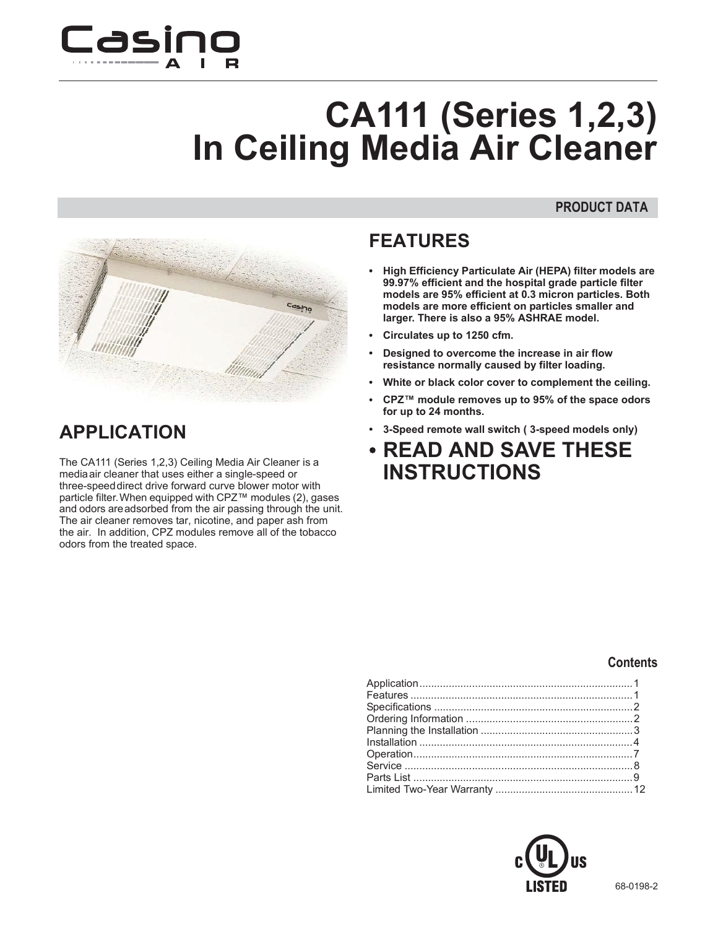

# **CA111 (Series 1,2,3) In Ceiling Media Air Cleaner**

### **PRODUCT DATA**



## **APPLICATION**

**APPLICATION**<br>The CA111 (Series 1,2,3) Ceiling Media Air Cleaner is a<br>media air cleaner that uses either a single-speed or<br>three-speed direct drive forward curve blower motor with **APPLICATION**<br>The CA111 (Series 1,2,3) Ceiling Media Air Cleaner is a<br>mediaair cleaner that uses either a single-speed or<br>three-speed direct drive forward curve blower motor with<br>particle filter When equipped with CPZ™ mo **APPLICATION**<br>The CA111 (Series 1,2,3) Ceiling Media Air Cleaner is a<br>media air cleaner that uses either a single-speed or<br>three-speed direct drive forward curve blower motor with<br>particle filter. When equipped with CPZ™ **Particle filter.**<br>The CA111 (Series 1,2,3) Ceiling Media Air Cleaner is a<br>media air cleaner that uses either a single-speed or<br>three-speed direct drive forward curve blower motor with<br>particle filter. When equipped with The CA111 (Series 1,2,3) Ceiling Media Air Cleaner is a<br>media air cleaner that uses either a single-speed or<br>three-speed direct drive forward curve blower motor with<br>particle filter. When equipped with CPZ™ modules (2), g The CA111 (Series 1,2,3) Ceiling Media Air Cleaner is a<br>media air cleaner that uses either a single-speed or<br>three-speed direct drive forward curve blower motor with<br>particle filter. When equipped with CPZ™ modules (2), g the air. In addition, CPZ modules remove all of the tobacco odors from the treated space.

## **FEATURES**

- $\bullet$ **High Efficiency Particulate Air (HEPA) filter models are 99.97% efficientand the hospital grade particle filter models are 95% efficient at 0.3 micron particles. Both models are more efficient on particles smaller and larger. There is also a 95% ASHRAE model.**
- **Circulates up to 1250 cfm.**
- **Designed to overcome the increase in air flow resistance normally caused by filter loading.**
- **White or black color cover to complement the ceiling.**
- **CPZ™ module removes up to 95% of the space odors for up to 24 months.**
- **3-Speed remote wall switch ( 3-speed models only)**
- **READ AND SAVE THESE INSTRUCTIONS**

### **Contents**

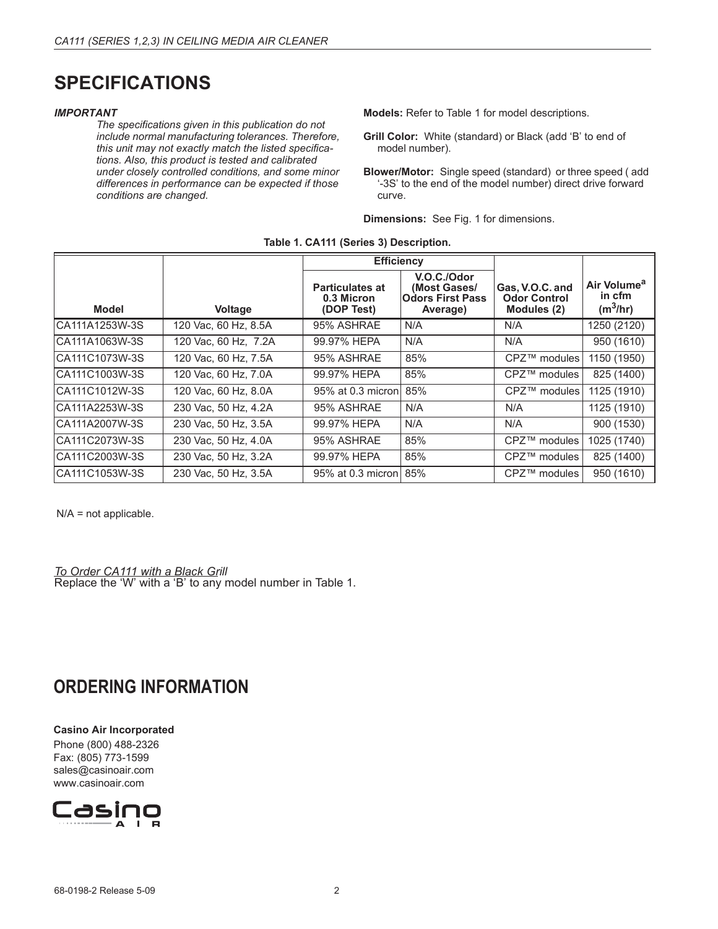## **SPECIFICATIONS**

### *IMPORTANT*

*The specifications given in this publication do not include normal manufacturing tolerances. Therefore, this unit may* not exactly match the listed specifica*tions. Also, this product is tested and calibrated under closely controlled conditions, and some minor differences in performance can be expected if those conditions are changed.*

**Models:** Refer to Table 1 for model descriptions.

- **Grill Color:** White (standard) or Black (add 'B' to end of model number).
- **Blower/Motor:** Single speed (standard) or three speed ( add '-3S' to the end of the model number) direct drive forward curve.

**Dimensions:** See Fig. 1 for dimensions.

|                |                      | <b>Efficiency</b>                                  |                                                                    |                                                       |                                                 |
|----------------|----------------------|----------------------------------------------------|--------------------------------------------------------------------|-------------------------------------------------------|-------------------------------------------------|
| <b>Model</b>   | Voltage              | <b>Particulates at</b><br>0.3 Micron<br>(DOP Test) | V.O.C./Odor<br>(Most Gases/<br><b>Odors First Pass</b><br>Average) | Gas, V.O.C. and<br><b>Odor Control</b><br>Modules (2) | Air Volume <sup>a</sup><br>in cfm<br>$(m^3/hr)$ |
| CA111A1253W-3S | 120 Vac, 60 Hz, 8.5A | 95% ASHRAE                                         | N/A                                                                | N/A                                                   | 1250 (2120)                                     |
| CA111A1063W-3S | 120 Vac, 60 Hz, 7.2A | 99.97% HEPA                                        | N/A                                                                | N/A                                                   | 950 (1610)                                      |
| CA111C1073W-3S | 120 Vac. 60 Hz. 7.5A | 95% ASHRAE                                         | 85%                                                                | CPZ™ modules                                          | 1150 (1950)                                     |
| CA111C1003W-3S | 120 Vac. 60 Hz. 7.0A | 99.97% HEPA                                        | 85%                                                                | CPZ™ modules                                          | 825 (1400)                                      |
| CA111C1012W-3S | 120 Vac. 60 Hz. 8.0A | 95% at 0.3 micron                                  | 85%                                                                | CPZ™ modules                                          | 1125 (1910)                                     |
| CA111A2253W-3S | 230 Vac. 50 Hz. 4.2A | 95% ASHRAE                                         | N/A                                                                | N/A                                                   | 1125 (1910)                                     |
| CA111A2007W-3S | 230 Vac, 50 Hz, 3.5A | 99.97% HEPA                                        | N/A                                                                | N/A                                                   | 900 (1530)                                      |
| CA111C2073W-3S | 230 Vac. 50 Hz. 4.0A | 95% ASHRAE                                         | 85%                                                                | CPZ™ modules                                          | 1025 (1740)                                     |
| CA111C2003W-3S | 230 Vac, 50 Hz, 3.2A | 99.97% HEPA                                        | 85%                                                                | CPZ™ modules                                          | 825 (1400)                                      |
| CA111C1053W-3S | 230 Vac, 50 Hz, 3.5A | 95% at 0.3 micron                                  | 85%                                                                | CPZ™ modules                                          | 950 (1610)                                      |

**Table 1. CA111 (Series 3) Description.**

 $N/A$  = not applicable.

*To Order CA111 with a Black Grill* N/A – not applicable.<br>
To Order CA111 with a Black Grill<br>Replace the 'W' with a 'B' to any model number in Table 1.

### **ORDERING INFORMATION**

### **Casino Air Incorporated**

Phone (800) 488-2326 Fax: (805) 773-1599 sales@casinoair.com www.casinoair.com

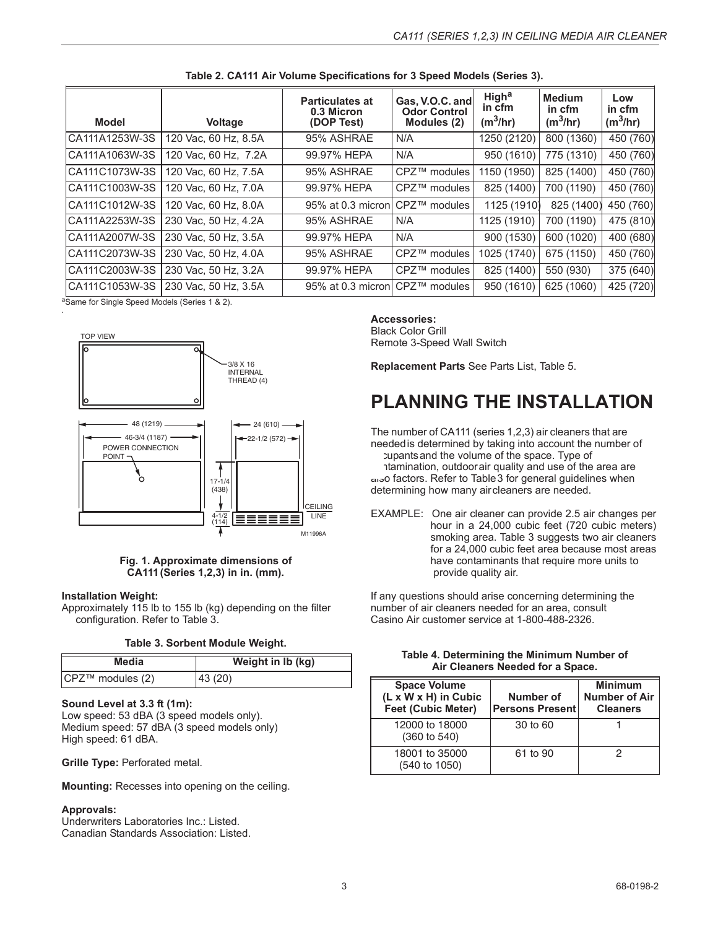| <u>rapic 2. OATH All Vuluille Opecifications for a Opeed Models (Oerles J).</u> |                      |                                                    |                                                       |                                                 |                                       |                             |
|---------------------------------------------------------------------------------|----------------------|----------------------------------------------------|-------------------------------------------------------|-------------------------------------------------|---------------------------------------|-----------------------------|
| <b>Model</b>                                                                    | <b>Voltage</b>       | <b>Particulates at</b><br>0.3 Micron<br>(DOP Test) | Gas, V.O.C. and<br><b>Odor Control</b><br>Modules (2) | <b>High<sup>a</sup></b><br>in cfm<br>$(m^3/hr)$ | <b>Medium</b><br>in cfm<br>$(m^3/hr)$ | Low<br>in cfm<br>$(m^3/hr)$ |
| ICA111A1253W-3S                                                                 | 120 Vac. 60 Hz. 8.5A | 95% ASHRAE                                         | N/A                                                   | 1250 (2120)                                     | 800 (1360)                            | 450 (760)                   |
| ICA111A1063W-3S                                                                 | 120 Vac, 60 Hz, 7.2A | 99.97% HEPA                                        | N/A                                                   | 950 (1610)                                      | 775 (1310)                            | 450 (760)                   |
| CA111C1073W-3S                                                                  | 120 Vac. 60 Hz. 7.5A | 95% ASHRAE                                         | CPZ™ modules                                          | 1150 (1950)                                     | 825 (1400)                            | 450 (760)                   |
| ICA111C1003W-3S                                                                 | 120 Vac. 60 Hz. 7.0A | 99.97% HEPA                                        | CPZ™ modules                                          | 825 (1400)                                      | 700 (1190)                            | 450 (760)                   |
| CA111C1012W-3S                                                                  | 120 Vac. 60 Hz. 8.0A | 95% at 0.3 micron CPZ™ modules                     |                                                       | 1125 (1910)                                     | 825 (1400)                            | 450 (760)                   |
| ICA111A2253W-3S                                                                 | 230 Vac, 50 Hz, 4.2A | 95% ASHRAE                                         | N/A                                                   | 1125 (1910)                                     | 700 (1190)                            | 475 (810)                   |
| ICA111A2007W-3S                                                                 | 230 Vac, 50 Hz, 3.5A | 99.97% HEPA                                        | N/A                                                   | 900 (1530)                                      | 600 (1020)                            | 400 (680)                   |
| ICA111C2073W-3S                                                                 | 230 Vac. 50 Hz, 4.0A | 95% ASHRAE                                         | CPZ™ modules                                          | 1025 (1740)                                     | 675 (1150)                            | 450 (760)                   |
| CA111C2003W-3S                                                                  | 230 Vac. 50 Hz. 3.2A | 99.97% HEPA                                        | CPZ™ modules                                          | 825 (1400)                                      | 550 (930)                             | 375 (640)                   |
| ICA111C1053W-3S                                                                 | 230 Vac. 50 Hz. 3.5A | 95% at 0.3 micronl CPZ™ modules                    |                                                       | 950 (1610)                                      | 625 (1060)                            | 425 (720)                   |

**Table 2. CA111 Air Volume Specifications for 3 Speed Models (Series 3).**

<sup>a</sup>Same for Single Speed Models (Series 1 & 2).



#### **Installation Weight:**

Approximately 115 lb to 155 lb (kg) depending on the filter configuration. Refer to Table 3.

#### **Table 3. Sorbent Module Weight.**

| Media            | Weight in Ib (kg) |
|------------------|-------------------|
| CPZ™ modules (2) | 43 (20)           |

### **Sound Level at 3.3 ft (1m):**

Low speed: 53 dBA (3 speed models only). Medium speed: 57 dBA (3 speed models only) High speed: 61 dBA.

**Grille Type:** Perforated metal.

**Mounting:** Recesses into opening on the ceiling.

### **Approvals:**

Underwriters Laboratories Inc.: Listed. Canadian Standards Association: Listed. **Accessories:** Black Color Grill Remote 3-Speed Wall Switch

**Replacement Parts** See Parts List, Table 5.

## **PLANNING THE INSTALLATION**

The number of CA111 (series 1,2,3) air cleaners that are<br>meeded is determined by taking into account the number of<br>cunants and the volume of the space. Type of **PLANNING THE INSTALLATION**<br>The number of CA111 (series 1,2,3) air cleaners that are<br>needed is determined by taking into account the number of<br>cupants and the volume of the space. Type of<br>atamination outdoor air quality an **PLANNING THE INSTALLATION**<br>The number of CA111 (series 1,2,3) air cleaners that are<br>needed is determined by taking into account the number of<br>cupants and the volume of the space. Type of<br>ntamination, outdoor air quality a THE TIME THE THE THE THE THE<br>The number of CA111 (series 1,2,3) air cleaners that are<br>needed is determined by taking into account the number of<br>cupants and the volume of the space. Type of<br>ntamination, outdoor air quality The number of CA111 (series 1,2,3) air cleaners that are<br>needed is determined by taking into account the number of<br>cupants and the volume of the space. Type of<br>ntamination, outdoor air quality and use of the area are<br>also

needed is determined by taking into account the number of<br>cupants and the volume of the space. Type of<br>ntamination, outdoor air quality and use of the area are<br>aiso factors. Refer to Table 3 for general guidelines when<br>det

provide quality air. CEILING<br>TINE EXAMPLE: One air cleaner can provide 2.5 air changes per Example 1 at also discussed the volume of the space. Type of<br>the area are<br>aiso factors. Refer to Table 3 for general guidelines when<br>determining how many aircleaners are needed.<br>EXAMPLE: One air cleaner can provide 2.5 air n, outdoorair quality and use of the area are<br>Refer to Table 3 for general guidelines when<br>how many aircleaners are needed.<br>One air cleaner can provide 2.5 air changes per<br>hour in a 24,000 cubic feet (720 cubic meters)<br>smo Refer to Table 3 for general guidelines when<br>how many aircleaners are needed.<br>One air cleaner can provide 2.5 air changes per<br>hour in a 24,000 cubic feet (720 cubic meters)<br>smoking area. Table 3 suggests two air cleaners<br>f how many aircleaners are needed.<br>
One air cleaner can provide 2.5 air changes per<br>
hour in a 24,000 cubic feet (720 cubic meters)<br>
smoking area. Table 3 suggests two air cleaners<br>
for a 24,000 cubic feet area because most One air cleaner can provide 2.5 air changes per<br>hour in a 24,000 cubic feet (720 cubic meters)<br>smoking area. Table 3 suggests two air cleaners<br>for a 24,000 cubic feet area because most areas<br>have contaminants that require smoking area. Table 3 suggests two air cleaners<br>for a 24,000 cubic feet area because most areas<br>have contaminants that require more units to<br>provide quality air.<br>If any questions should arise concerning determining the<br>num for a 24,000 cubic feet area because most areas<br>have contaminants that require more units to<br>provide quality air.<br>If any questions should arise concerning determining the<br>number of air cleaners needed for an area, consult

Casino Air customer service at 1-800-488-2326.

| Table 4. Determining the Minimum Number of |  |
|--------------------------------------------|--|
| Air Cleaners Needed for a Space.           |  |

| <b>Space Volume</b><br>(L x W x H) in Cubic<br><b>Feet (Cubic Meter)</b> | Number of<br>∣Persons Present <i>∖</i> | <b>Minimum</b><br><b>Number of Air</b><br><b>Cleaners</b> |
|--------------------------------------------------------------------------|----------------------------------------|-----------------------------------------------------------|
| 12000 to 18000<br>$(360 \text{ to } 540)$                                | 30 to 60                               |                                                           |
| 18001 to 35000<br>(540 to 1050)                                          | 61 to 90                               |                                                           |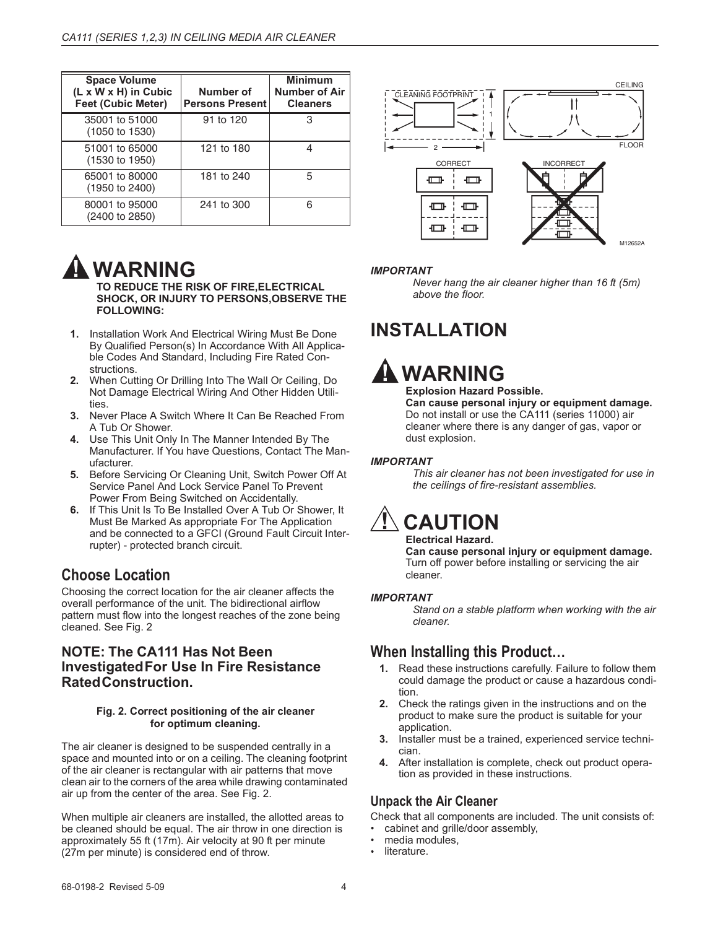| Space Volume<br>$(L \times W \times H)$ in Cubic<br><b>Feet (Cubic Meter)</b> | Number of<br><b>Persons Present</b> | <b>Minimum</b><br><b>Number of Air</b><br><b>Cleaners</b> |
|-------------------------------------------------------------------------------|-------------------------------------|-----------------------------------------------------------|
| 35001 to 51000<br>$(1050 \text{ to } 1530)$                                   | 91 to 120                           | 3                                                         |
| 51001 to 65000<br>$(1530 \text{ to } 1950)$                                   | 121 to 180                          | 4                                                         |
| 65001 to 80000<br>(1950 to 2400)                                              | 181 to 240                          | 5                                                         |
| 80001 to 95000<br>(2400 to 2850)                                              | 241 to 300                          | 6                                                         |



**TO REDUCE THE RISK OF FIRE,ELECTRICAL SHOCK, OR INJURY TO PERSONS,OBSERVE THE FOLLOWING:**

- **1.** Installation Work And Electrical Wiring Must Be Done By Qualified Person(s) In Accordance With All Applica ble Codes And Standard, Including Fire Rated Con structions.
- **2.** When Cutting Or Drilling Into The Wall Or Ceiling, Do Not Damage Electrical Wiring And Other Hidden Utilities.
- **3.** Never Place A Switch Where It Can Be Reached From **Do not install or use the CA111** (series 11000) air A Tub Or Shower. A Tub Or Shower.
- **4.** Use This Unit Only In The Manner Intended By The Manufacturer. If You have Questions, Contact The Man ufacturer.
- **5.** Before Servicing Or Cleaning Unit, Switch Power Off At Service Panel And Lock Service Panel To Prevent Power From Being Switched on Accidentally.
- **6.** If This Unit Is To Be Installed Over A Tub Or Shower, It Must Be Marked As appropriate For The Application and be connected to a GFCI (Ground Fault Circuit Interrupter) - protected branch circuit.

### **Choose Location**

Choosing the correct location for the air cleaner affects the overall performance of the unit. The bidirectional airflow pattern must flow into the longest reaches of the zone being cleaned. See Fig. 2 **Choose Location**<br>Choosing the correct location for the air cleaner affects the<br>overall performance of the unit. The bidirectional airflow<br>pattern must flow into the longest reaches of the zone being<br>cleaned. See Fig. 2<br>**N** 

## **InvestigatedFor Use In Fire Resistance RatedConstruction.**

### **Fig. 2. Correct positioning of the air cleaner for optimum cleaning.**

The air cleaner is designed to be suspended centrally in a space and mounted into or on a ceiling. The cleaning footprint of the air cleaner is rectangular with air patterns that move clean air to the corners of the area while drawing contaminated air up from the center of the area. See Fig. 2.

When multiple air cleaners are installed, the allotted areas to be cleaned should be equal. The air throw in one direction is approximately 55 ft (17m). Air velocity at 90 ft per minute (27m per minute) is considered end of throw.



### *IMPORTANT*

*Never hang the air cleaner higher than 16 ft (5m) above the floor.*

## **INSTALLATION**

# **WARNING**<br>Explosion Hazard Possible.

**FALLATION<br>WARNING<br>Explosion Hazard Possible.<br>Can cause personal injury or equipr<br>Do not install or use the CA111 (series) WARNING**<br>Explosion Hazard Possible.<br>Can cause personal injury or equipment damage.<br>Do not install or use the CA111 (series 11000) air<br>cleaner where there is any danger of gas. vapor or **WARNING**<br>Explosion Hazard Possible.<br>Can cause personal injury or equipment damage.<br>Do not install or use the CA111 (series 11000) air<br>cleaner where there is any danger of gas, vapor or<br>dust explosion **WARNING**<br>Explosion Hazard Possible.<br>Can cause personal injury or equipment damage.<br>Do not install or use the CA111 (series 11000) air<br>cleaner where there is any danger of gas, vapor or<br>dust explosion. Explosion Hazard Pos<br>Can cause personal in<br>Do not install or use the<br>cleaner where there is a<br>dust explosion.<br>TANT

### *IMPORTANT*

*This air cleaner has notbeen investigated for use in the ceilings of fire-resistant assemblies.*

## **CAUTION**

### **Electrical Hazard.**

**Can cause personal injury orequipment damage.** Turn off power before installing or servicing the air cleaner.

### *IMPORTANT*

*Stand on a stable platform when working with the air cleaner.*

### **When Installing this Product…**

- **1.** Read these instructions carefully. Failure to follow them could damage the product or cause a hazardous condition.
- **2.** Check the ratings given in the instructions and on the product to make sure the product is suitable for your application.
- **3.** Installer must be a trained, experienced service techni cian.
- **4.** After installation is complete, check out product operation as provided in these instructions.

### **Unpack the Air Cleaner**

Check that all components are included. The unit consists of:

- cabinet and grille/door assembly, media modules,
- 
- literature.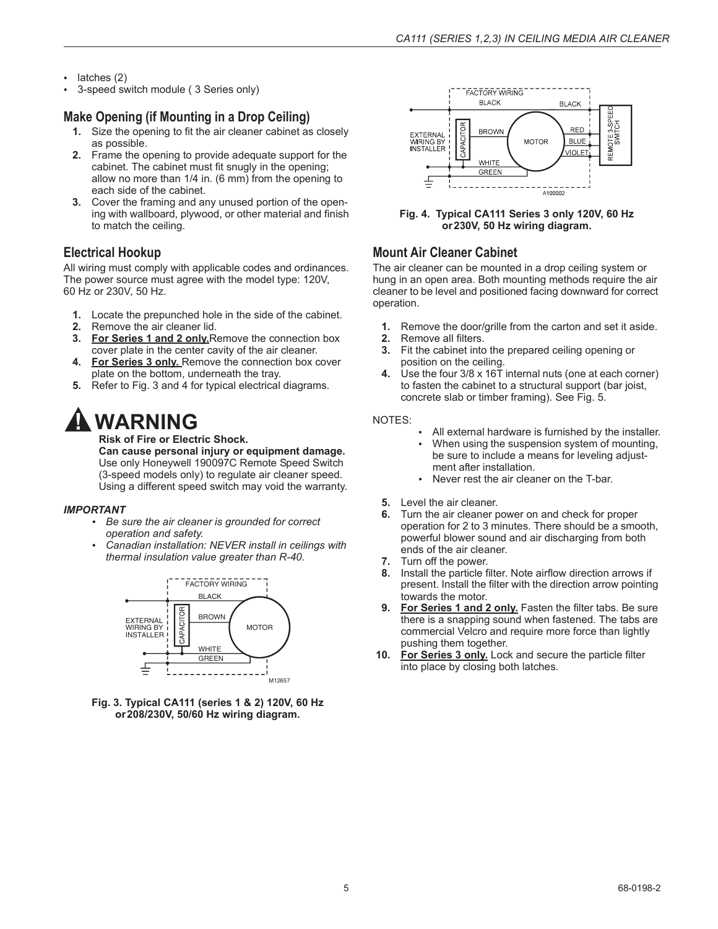- latches (2)
- 3-speed switch module ( 3 Series only)

### **Make Opening (if Mounting in a Drop Ceiling)**

- **1.** Size the opening to fit the air cleaner cabinet as closely as possible.
- **2.** Frame the opening to provide adequate support for the cabinet. The cabinet must fit snugly in the opening; allow no more than 1/4 in. (6 mm) from the opening to each side of the cabinet.
- **3.** Cover the framing and any unused portion of the opening with wallboard, plywood, or other material and finish to match the ceiling.

### **Electrical Hookup**

All wiring must comply with applicable codes and ordinances. The power source must agree with the model type: 120V, 60 Hz or 230V, 50 Hz.

- **1.** Locate the prepunched hole in the side of the cabinet.<br>**2.** Remove the air cleaner lid
- **2.** Remove the air cleaner lid.
- **3. For Series 1 and 2 only.**Remove the connection box cover plate in the center cavity of the air cleaner.
- **4. For Series 3 only.** Remove the connection box cover plate on the bottom, underneath the tray.
- **5.** Refer to Fig. 3 and 4 for typical electrical diagrams.

## **WARNING**

**Risk of Fire or Electric Shock. Can cause personal injury orequipment damage.** Use only Honeywell 190097C Remote Speed Switch (3-speed models only) to regulate air cleaner speed. Using a different speed switch may void the warranty.

### *IMPORTANT*

- *Be sure the air cleaner is grounded for correct operation and safety.*
- *Canadian installation: NEVER install in ceilings with thermal insulation value greater than R-40.*







### **Mount Air Cleaner Cabinet**

The air cleaner can be mounted in a drop ceiling system or hung in an open area. Both mounting methods require the air cleaner to be level and positioned facing downward for correct operation.

- **1.** Remove the door/grille from the carton and set it aside.
- **2.** Remove all filters.<br>**3.** Fit the cabinet into
- **3.** Fit the cabinet into the prepared ceiling opening or position on the ceiling.
- **4.** Use the four 3/8 x 16T internal nuts (one at each corner) to fasten the cabinet to a structural support (bar joist, concrete slab or timber framing). See Fig. 5.

### NOTES:

- All external hardware is furnished by the installer. When using the suspension system of mounting, be sure to include a means for leveling adjust ment after installation.
- Never rest the air cleaner on the T-bar.
- **5.** Level the air cleaner.
- **6.** Turn the air cleaner power on and check for proper operation for 2 to 3 minutes. There should be a smooth, powerful blower sound and air discharging from both ends of the air cleaner.
- **7.** Turn off the power.<br>**8.** Install the particle fi
- **8.** Install the particle filter. Note airflow direction arrows if present. Install the filter with the direction arrow pointing towards the motor.
- **9. For Series 1 and 2 only.** Fasten the filter tabs. Be sure there is a snapping sound when fastened. The tabs are commercial Velcro and require more force than lightly pushing them together.
- **10. For Series 3 only.** Lock and secure the particle filter into place by closing both latches.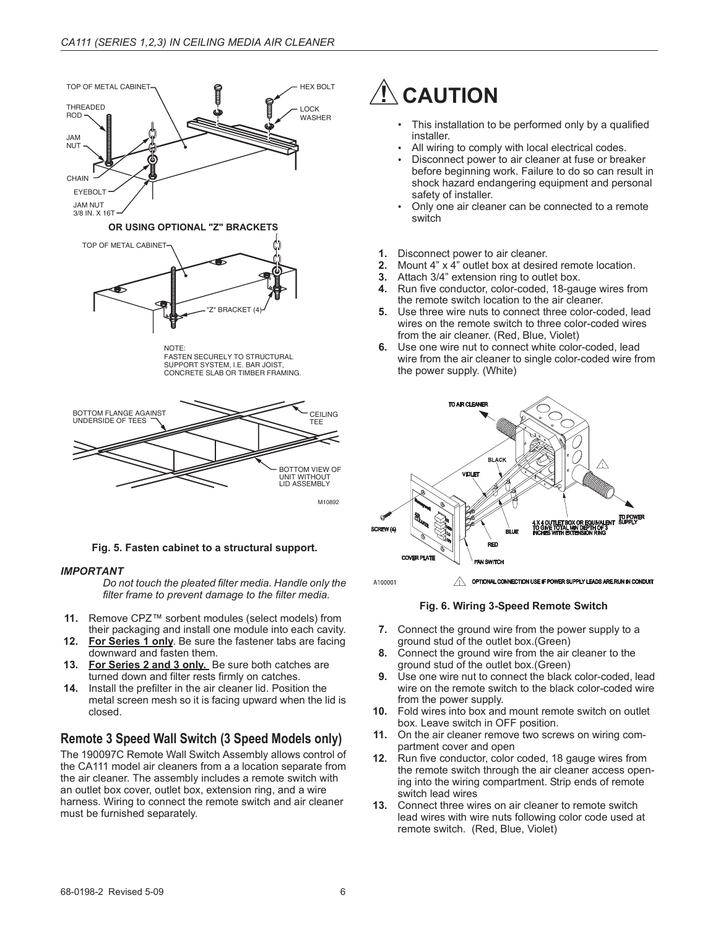

**Fig. 5. Fasten cabinet to a structural support.**

### *IMPORTANT*

*Do not touch the pleated filter media. Handle only the filter frame to prevent damage to the filter media.*

- **11.** Remove CPZ™ sorbent modules (select models) from their packaging and install one module into each cavity.
- **12. For Series 1 only**. Be sure the fastener tabs are facing downward and fasten them.
- **13. For Series 2 and 3 only.** Be sure both catches are turned down and filter rests firmly on catches.
- **14.** Install the prefilter in the air cleaner lid. Position the metal screen mesh so it is facing upward when the lid is<br>closed 10. closed.

### **Remote 3 Speed Wall Switch (3 Speed Models only)**

metal screen mesh so it is facing upward when the lid is<br>
closed.<br> **The 190097C Remote Wall Switch (3 Speed Models only)**<br>
The 190097C Remote Wall Switch Assembly allows control of<br>
the CA111 model air cleaners from a a lo the Cantrice Cosed.<br>
The 190097C Remote Wall Switch (3 Speed Models only) 11. On<br>
The 190097C Remote Wall Switch Assembly allows control of<br>
the CA111 model air cleaners from a a location separate from<br>
the air cleaner. Th **Remote 3 Speed Wall Switch (3 Speed Models only)** the air element of the CA111 model air cleaners from a a location separate from the air cleaner. The assembly includes a remote switch with an outlet box cover, outlet box **Remote 3 Speed Wall Switch (3 Speed Models only)** 11.<br>The 190097C Remote Wall Switch Assembly allows control of<br>the CA111 model air cleaners from a a location separate from<br>the air cleaner. The assembly includes a remote The 190097C Remote Wall Switch Assembly allows control of the CA111 model air cleaners from a a location separate from the air cleaner. The assembly includes a remote switch with an outlet box cover, outlet box, extension the CA111 model air cleaners from a a location separate from

## **CAUTION**

- This installation to be performed only by a qualified installer.
- All wiring to comply with local electrical codes.
- Disconnect power to air cleaner at fuse or breaker before beginning work. Failure to do so can result in shock hazard endangering equipment and personal safety of installer.
- Only one air cleaner can be connected to a remote switch
- **1.** Disconnect power to air cleaner.
- **2.** Mount  $4$ "  $\times$   $4$ " outlet box at desired remote location.<br>**3.** Attach  $3/4$ " extension ring to outlet box
- **3.** Attach 3/4" extension ring to outlet box.<br>**4.** Bun five conductor, color-coded, 18-gai
- **4.** Run five conductor, color-coded, 18-gauge wires from the remote switch location to the air cleaner.
- **5.** Use three wire nuts to connect three color-coded, lead wires on the remote switch to three color-coded wires from the air cleaner. (Red, Blue, Violet)
- **6.** Use one wire nut to connect white color-coded, lead wire from the air cleaner to single color-coded wire from the power supply. (White)



### **Fig. 6. Wiring 3-Speed Remote Switch**

OPTIONAL CONNECTION USE IF POWER SUPPLY LEADS ARE RUN IN CONDUIT

- **7.** Connect the ground wire from the power supply to a ground stud of the outlet box.(Green)
- **8.** Connect the ground wire from the air cleaner to the ground stud of the outlet box.(Green)
- **9.** Use one wire nut to connect the black color-coded, lead wire on the remote switch to the black color-coded wire from the power supply.
- **10.** Fold wires into box and mount remote switch on outlet box. Leave switch in OFF position.
- **11.** On the air cleaner remove two screws on wiring com partment cover and open
- **12.** Run five conductor, color coded, 18 gauge wires from the remote switch through the air cleaner access opening into the wiring compartment. Strip ends of remote switch lead wires
- **13.** Connect three wires on air cleaner to remote switch lead wires with wire nuts following color code used at remote switch. (Red, Blue, Violet)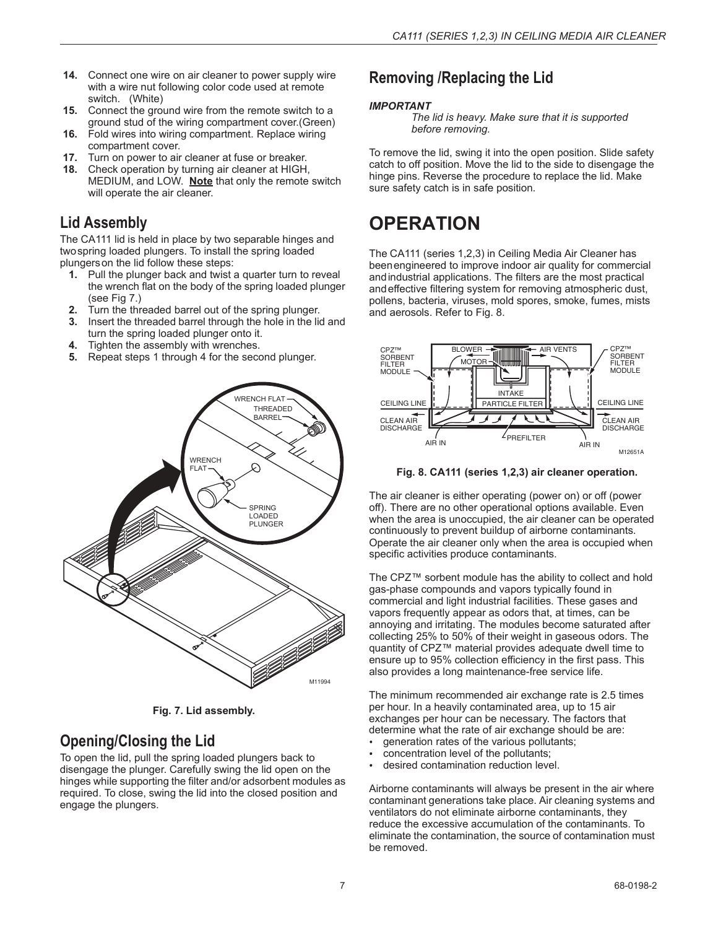- **14.** Connect one wire on air cleaner to power supply wire with a wire nut following color code used at remote switch. (White)
- **15.** Connect the ground wire from the remote switch to a ground stud of the wiring compartment cover.(Green)
- **16.** Fold wires into wiring compartment. Replace wiring compartment cover.
- **17.** Turn on power to air cleaner at fuse or breaker.
- **18.** Check operation by turning air cleaner at HIGH, MEDIUM, and LOW. **Note** that only the remote switch will operate the air cleaner.

### **Lid Assembly**

MEDIUM, and LOW. **Note** that only the remote switch<br>
will operate the air cleaner.<br> **Lid Assembly**<br>
The CA111 lid is held in place by two separable hinges and<br>
two spring loaded plungers. To install the spring loaded<br>
The will operate the air cleaner.<br> **Lid Assembly**<br>
The CA111 lid is held in place by two separable hinges and<br>
two spring loaded plungers. To install the spring loaded<br>
plungers on the lid follow these steps:<br>
1. Pull the plun **Lid Assembly**<br>The CA111 lid is held in place by two separable hir<br>two spring loaded plungers. To install the spring loa<br>plungers on the lid follow these steps:<br>1. Pull the plunger back and twist a quarter ture<br>the wrench

- **1.** Pull the plunger back and twist a quarter turn to reveal (see Fig 7.)
- **2.** Turn the threaded barrel out of the spring plunger.
- **3.** Insert the threaded barrel through the hole in the lid and turn the spring loaded plunger onto it.
- **4.** Tighten the assembly with wrenches.
- **5.** Repeat steps 1 through 4 for the second plunger.



**Fig. 7. Lid assembly.**

### **Opening/Closing the Lid**

To open the lid, pull the spring loaded plungers back to disengage the plunger. Carefully swing the lid open on the hinges while supporting the filter and/or adsorbent modules as required. To close, swing the lid into the closed position and engage the plungers.

### **Removing /Replacing the Lid**

### *IMPORTANT*

*The lid is heavy. Make sure that it is supported before removing.*

To remove the lid, swing it into the open position. Slide safety catch to off position. Move the lid to the side to disengage the hinge pins. Reverse the procedure to replace the lid. Make sure safety catch is in safe position.

## **OPERATION**

the wrench flat on the body of the spring loaded plunger and effective filtering system for removing atmospheric dust, The CA111 (series 1,2,3) in Ceiling Media Air Cleaner has been engineered to improve indoor air quality for commercial **OPERATION**<br>The CA111 (series 1,2,3) in Ceiling Media Air Cleaner has<br>been engineered to improve indoor air quality for commercial<br>and industrial applications. The filters are the most practical<br>and effective filtering sys **OPERATION**<br>The CA111 (series 1,2,3) in Ceiling Media Air Cleaner has<br>been engineered to improve indoor air quality for commercial<br>and industrial applications. The filters are the most practical<br>and effective filtering sys The CA111 (series 1,2,3) in Ceiling Media Air Cleaner has<br>been engineered to improve indoor air quality for commercial<br>and industrial applications. The filters are the most practical<br>and effective filtering system for remo The CA111 (series 1,2,3) in Ceiling Media Air Cleaner has<br>been engineered to improve indoor air quality for commercial<br>and industrial applications. The filters are the most practical<br>and effective filtering system for remo The CA111 (series 1,2,3) in Ceiling Media Air C<br>been engineered to improve indoor air quality f<br>and industrial applications. The filters are the n<br>and effective filtering system for removing atm<br>pollens, bacteria, viruses,



The air cleaner is either operating (power on) or off (power off). There are no other operational options available. Even when the area is unoccupied, the air cleaner can be operated continuously to prevent buildup of airborne contaminants. Operate the air cleaner only when the area is occupied when specific activities produce contaminants.

The CPZ™ sorbent module has the ability to collect and hold gas-phase compounds and vapors typically found in commercial and light industrial facilities. These gases and vapors frequently appear as odors that, at times, can be annoying and irritating. The modules become saturated after collecting 25% to 50% of their weight in gaseous odors. The quantity of CPZ™ material provides adequate dwell time to ensure up to 95% collection efficiency in the first pass. This also provides a long maintenance-free service life.

The minimum recommended air exchange rate is 2.5 times per hour. In a heavily contaminated area, up to 15 air exchanges per hour can be necessary. The factors that determine what the rate of air exchange should be are:

- generation rates of the various pollutants;
- concentration level of the pollutants;
- desired contamination reduction level.

Airborne contaminants will always be present in the air where contaminant generations take place. Air cleaning systems and ventilators do not eliminate airborne contaminants, they reduce the excessive accumulation of the contaminants. To eliminate the contamination, the source of contamination must be removed.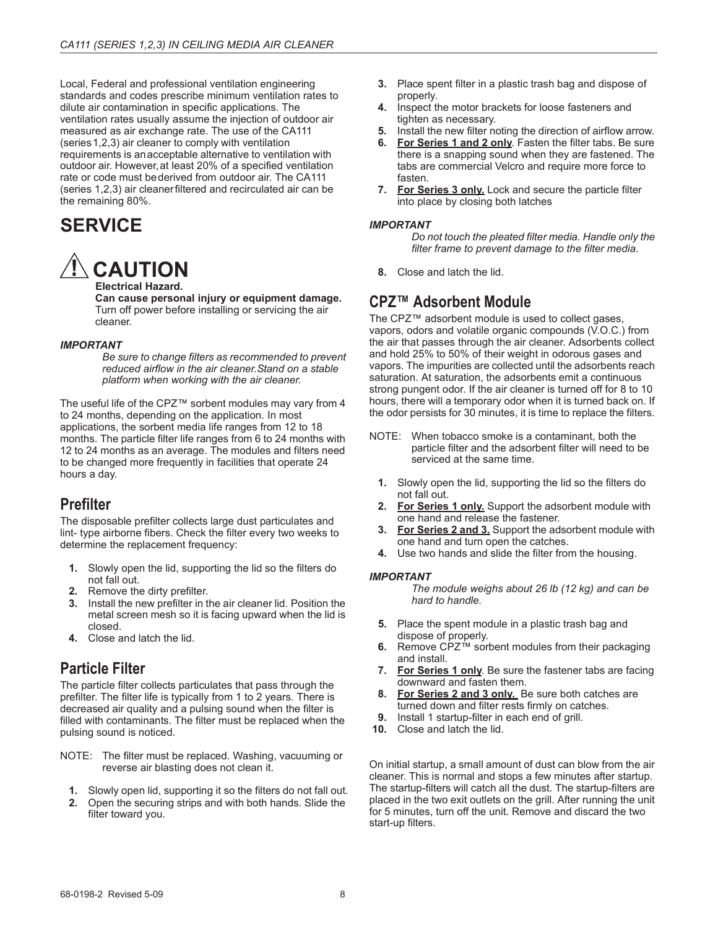CA111 (SERIES 1,2,3) IN CEILING MEDIA AIR CLEANER<br>Local, Federal and professional ventilation engineering<br>standards and codes prescribe minimum ventilation rates to<br>dilute air contamination in specific applications. The CA111 (SERIES 1,2,3) IN CEILING MEDIA AIR CLEANER<br>
Local, Federal and professional ventilation engineering 3. Place<br>
standards and codes prescribe minimum ventilation rates to prop<br>
dilute air contamination in specific app Local, Federal and professional ventilation engineering<br>standards and codes prescribe minimum ventilation rates to<br>dilute air contamination in specific applications. The<br>ventilation rates usually assume the injection of ou Local, Federal and professional ventilation engineering **3.** Plands and codes prescribe minimum ventilation rates to dilute air contamination in specific applications. The **4.** Insertilation rates usually assume the inject Local, Federal and professional ventilation engineering<br>standards and codes prescribe minimum ventilation rates to<br>dilute air contamination in specific applications. The<br>ventilation rates usually assume the injection of ou Local, Federal and professional ventilation engineering<br>standards and codes prescribe minimum ventilation rates t<br>dilute air contamination in specific applications. The<br>ventilation rates usually assume the injection of out standards and codes prescribe minimum ventilation rates to<br>dilute air contamination in specific applications. The<br>ventilation rates usually assume the injection of outdoor air<br>measured as air exchange rate. The use of the dilute air contamination in specific applications. The<br>ventilation rates usually assume the injection of outdoor air<br>measured as air exchange rate. The use of the CA111<br>(series 1,2,3) air cleaner to comply with ventilation outdoor air. However, at least 20% of a specified ventilation rate or code must bederived from outdoor air. The CA111 (series 1,2,3) air cleaner filtered and recirculated air can be the remaining 80%. measured as air exchange rate. The use of the CA111 (series 1,2,3) air cleaner to comply with ventilation **6.** For equirements is an acceptable alternative to ventilation with outdoor air. However, at least 20% of a specif requirements is an acceptable alternative to ventilation with

## **SERVICE**



**Electrical Hazard.**

**Can cause personal injury orequipment damage.** Turn off power before installing or servicing the air cleaner.

### *IMPORTANT*

*Be sure to change filters as recommended to prevent reduced airflow in the air cleaner.Stand on a stable platform when working with the air cleaner.*

The useful life of the CPZ™ sorbent modules may vary from 4 to 24 months, depending on the application. In most applications, the sorbent media life ranges from 12 to 18 months. The particle filter life ranges from 6 to 24 months with 12 to 24 months as an average. The modules and filters need to be changed more frequently in facilities that operate 24 hours a day.

### **Prefilter**

The disposable prefilter collects large dust particulates and lint- type airborne fibers. Check the filter every two weeks to 3. determine the replacement frequency:

- **1.** Slowly open the lid, supporting the lid so the filters do not fall out.
- **2.** Remove the dirty prefilter.
- **3.** Install the new prefilter in the air cleaner lid. Position the metal screen mesh so it is facing upward when the lid is closed.
- **4.** Close and latch the lid.

### **Particle Filter**

The particle filter collects particulates that pass through the prefilter. The filter life is typically from 1 to 2 years. There is decreased air quality and a pulsing sound when the filter is filled with contaminants. The filter must be replaced when the 9. pulsing sound is noticed.

NOTE: The filter must be replaced. Washing, vacuuming or reverse air blasting does not clean it.

- **1.** Slowly open lid, supporting it so the filters do not fall out.
- **2.** Open the securing strips and with both hands. Slide the filter toward you.
- **3.** Place spent filter in a plastic trash bag and dispose of properly.
- **4.** Inspect the motor brackets for loose fasteners and tighten as necessary.
- **5.** Install the new filter noting the direction of airflow arrow.<br>**6. For Series 1 and 2 only** Fasten the filter tabs. Be sure
- **6. For Series 1 and 2 only**. Fasten the filter tabs. Be sure there is a snapping sound when they are fastened. The tabs are commercial Velcro and require more force to fasten.
- **7. For Series 3 only.** Lock and secure the particle filter into place by closing both latches

#### *IMPORTANT*

*Do not touch the pleated filter media. Handle only the filter frame to prevent damage to the filter media.*

**8.** Close and latch the lid.

### **CPZ™ Adsorbent Module**

The CPZ™ adsorbent module is used to collect gases, vapors, odors and volatile organic compounds (V.O.C.) from the air that passes through the air cleaner. Adsorbents collect and hold 25% to 50% of their weight in odorous gases and vapors. The impurities are collected until the adsorbents reach saturation. At saturation, the adsorbents emit a continuous strong pungent odor. If the air cleaner is turned off for 8 to 10 hours, there will a temporary odor when it is turned back on. If the odor persists for 30 minutes, it is time to replace the filters.

- NOTE: When tobacco smoke is a contaminant, both the particle filter and the adsorbent filter will need to be serviced at the same time.
	- **1.** Slowly open the lid, supporting the lid so the filters do not fall out.
	- **2. For Series 1 only.** Support the adsorbent module with one hand and release the fastener.
	- **3. For Series 2 and 3.** Support the adsorbent module with one hand and turn open the catches.
	- **4.** Use two hands and slide the filter from the housing.

### *IMPORTANT*

*The module weighs about 26 lb (12 kg)and can be hard to handle.*

- **5.** Place the spent module in a plastic trash bag and dispose of properly.
- **6.** Remove CPZ™ sorbent modules from their packaging and install.
- **7. For Series 1 only**. Be sure the fastener tabs are facing downward and fasten them.
- **8. For Series 2 and 3 only.** Be sure both catches are turned down and filter rests firmly on catches.
- **9.** Install 1 startup-filter in each end of grill.
- **10.** Close and latch the lid.

On initial startup, a small amount of dust can blow from the air cleaner. This is normal and stops a few minutes after startup. The startup-filters will catch all the dust. The startup-filters are placed in the two exit outlets on the grill. After running the unit for 5 minutes, turn off the unit. Remove and discard the two start-up filters.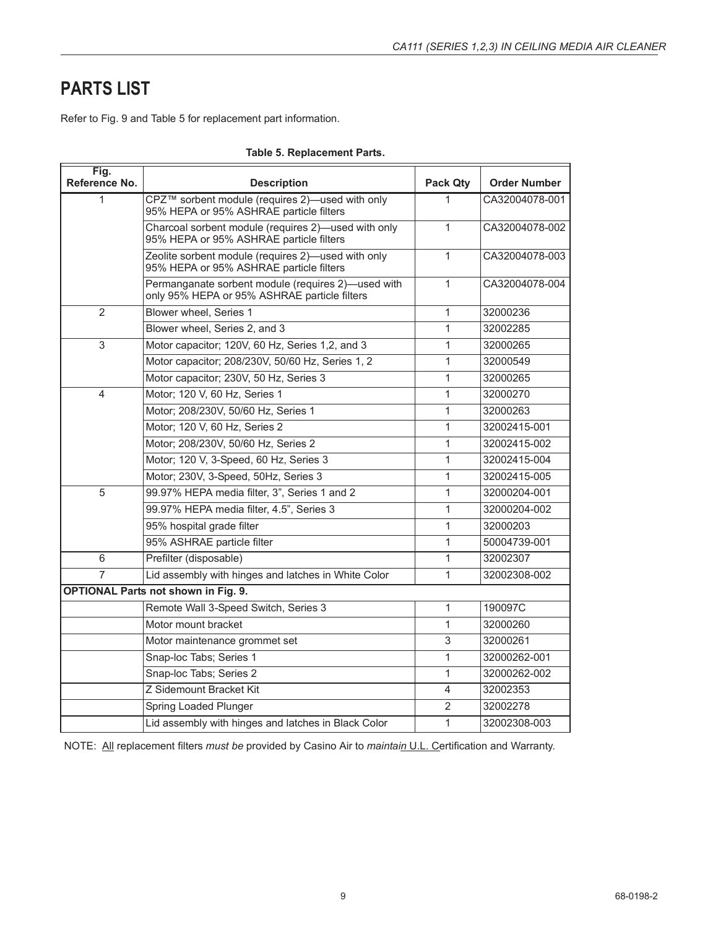## **PARTS LIST**

Refer to Fig. 9 and Table 5 for replacement part information.

| Fig.<br>Reference No. | <b>Description</b>                                                                                 | Pack Qty       | <b>Order Number</b> |
|-----------------------|----------------------------------------------------------------------------------------------------|----------------|---------------------|
| $\mathbf{1}$          | CPZ™ sorbent module (requires 2)—used with only<br>95% HEPA or 95% ASHRAE particle filters         | 1              | CA32004078-001      |
|                       | Charcoal sorbent module (requires 2)—used with only<br>95% HEPA or 95% ASHRAE particle filters     | $\mathbf{1}$   | CA32004078-002      |
|                       | Zeolite sorbent module (requires 2)-used with only<br>95% HEPA or 95% ASHRAE particle filters      | 1              | CA32004078-003      |
|                       | Permanganate sorbent module (requires 2)-used with<br>only 95% HEPA or 95% ASHRAE particle filters | $\mathbf{1}$   | CA32004078-004      |
| $\overline{2}$        | Blower wheel, Series 1                                                                             | 1              | 32000236            |
|                       | Blower wheel, Series 2, and 3                                                                      | 1              | 32002285            |
| 3                     | Motor capacitor; 120V, 60 Hz, Series 1,2, and 3                                                    | 1              | 32000265            |
|                       | Motor capacitor; 208/230V, 50/60 Hz, Series 1, 2                                                   | 1              | 32000549            |
|                       | Motor capacitor; 230V, 50 Hz, Series 3                                                             | 1              | 32000265            |
| 4                     | Motor; 120 V, 60 Hz, Series 1                                                                      | 1              | 32000270            |
|                       | Motor; 208/230V, 50/60 Hz, Series 1                                                                | 1              | 32000263            |
|                       | Motor; 120 V, 60 Hz, Series 2                                                                      | 1              | 32002415-001        |
|                       | Motor; 208/230V, 50/60 Hz, Series 2                                                                | 1              | 32002415-002        |
|                       | Motor; 120 V, 3-Speed, 60 Hz, Series 3                                                             | 1              | 32002415-004        |
|                       | Motor; 230V, 3-Speed, 50Hz, Series 3                                                               | 1              | 32002415-005        |
| 5                     | 99.97% HEPA media filter, 3", Series 1 and 2                                                       | 1              | 32000204-001        |
|                       | 99.97% HEPA media filter, 4.5", Series 3                                                           | 1              | 32000204-002        |
|                       | 95% hospital grade filter                                                                          | 1              | 32000203            |
|                       | 95% ASHRAE particle filter                                                                         | 1              | 50004739-001        |
| $\overline{6}$        | Prefilter (disposable)                                                                             | 1              | 32002307            |
| $\overline{7}$        | Lid assembly with hinges and latches in White Color                                                | 1              | 32002308-002        |
|                       | <b>OPTIONAL Parts not shown in Fig. 9.</b>                                                         |                |                     |
|                       | Remote Wall 3-Speed Switch, Series 3                                                               | 1              | 190097C             |
|                       | Motor mount bracket                                                                                | $\mathbf{1}$   | 32000260            |
|                       | Motor maintenance grommet set                                                                      | 3              | 32000261            |
|                       | Snap-loc Tabs; Series 1                                                                            | 1              | 32000262-001        |
|                       | Snap-loc Tabs; Series 2                                                                            | 1              | 32000262-002        |
|                       | Z Sidemount Bracket Kit                                                                            | 4              | 32002353            |
|                       | Spring Loaded Plunger                                                                              | $\overline{2}$ | 32002278            |
|                       | Lid assembly with hinges and latches in Black Color                                                | 1              | 32002308-003        |

### **Table 5. Replacement Parts.**

NOTE: All replacement filters *must be* provided by Casino Air to *maintain* U.L. Certification and Warranty.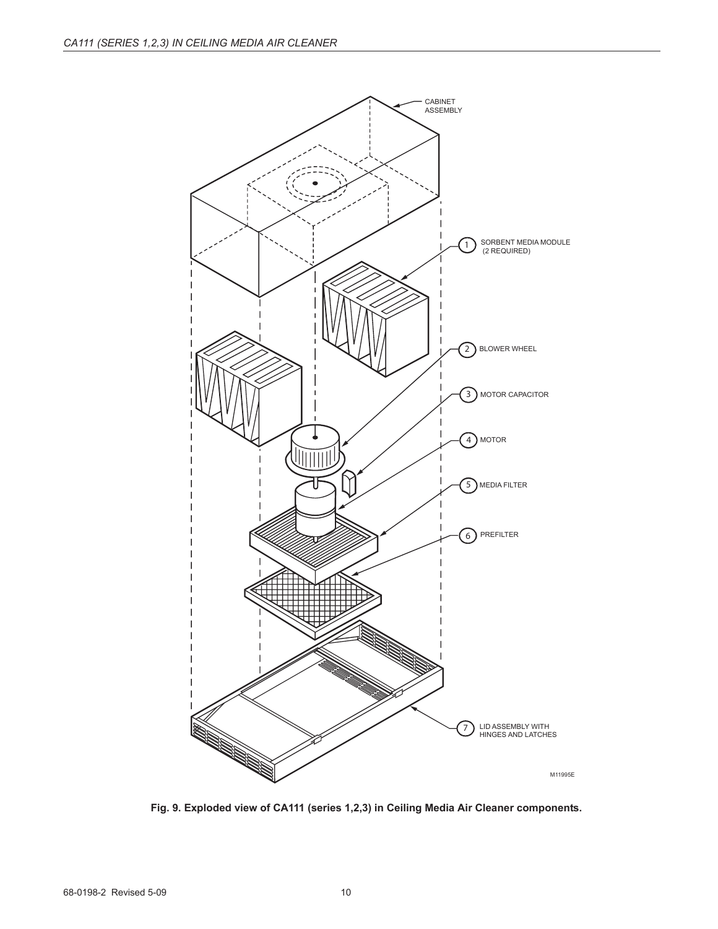

**Fig. 9. Exploded view of CA111 (series 1,2,3) in Ceiling Media Air Cleaner components.**